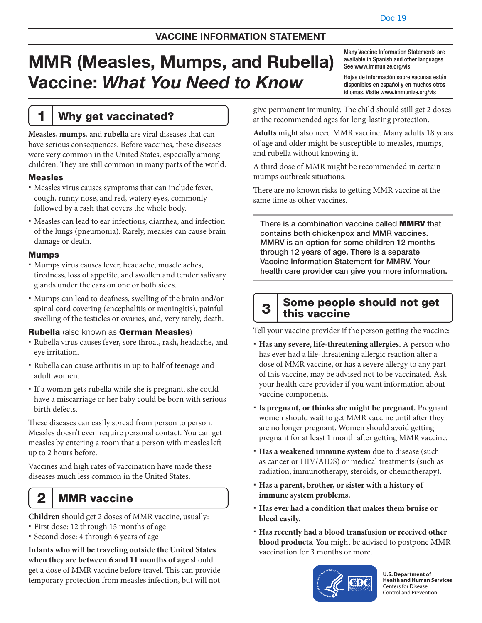# MMR (Measles, Mumps, and Rubella) Vaccine: *What You Need to Know*

Many Vaccine Information Statements are available in Spanish and other languages. See [www.immunize.org/vis](http://www.immunize.org/vis)

Hojas de información sobre vacunas están disponibles en español y en muchos otros idiomas. Visite [www.immunize.org/vis](http://www.immunize.org/vis)

## 1 Why get vaccinated?

**Measles**, **mumps**, and **rubella** are viral diseases that can have serious consequences. Before vaccines, these diseases were very common in the United States, especially among children. They are still common in many parts of the world.

#### Measles

- Measles virus causes symptoms that can include fever, cough, runny nose, and red, watery eyes, commonly followed by a rash that covers the whole body.
- Measles can lead to ear infections, diarrhea, and infection of the lungs (pneumonia). Rarely, measles can cause brain damage or death.

#### Mumps

- Mumps virus causes fever, headache, muscle aches, tiredness, loss of appetite, and swollen and tender salivary glands under the ears on one or both sides.
- Mumps can lead to deafness, swelling of the brain and/or spinal cord covering (encephalitis or meningitis), painful swelling of the testicles or ovaries, and, very rarely, death.

### Rubella (also known as German Measles)

- Rubella virus causes fever, sore throat, rash, headache, and eye irritation.
- Rubella can cause arthritis in up to half of teenage and adult women.
- If a woman gets rubella while she is pregnant, she could have a miscarriage or her baby could be born with serious birth defects.

These diseases can easily spread from person to person. Measles doesn't even require personal contact. You can get measles by entering a room that a person with measles left up to 2 hours before.

Vaccines and high rates of vaccination have made these diseases much less common in the United States.

## 2 | MMR vaccine

**Children** should get 2 doses of MMR vaccine, usually:

- First dose: 12 through 15 months of age
- Second dose: 4 through 6 years of age

**Infants who will be traveling outside the United States when they are between 6 and 11 months of age** should get a dose of MMR vaccine before travel. This can provide temporary protection from measles infection, but will not

give permanent immunity. The child should still get 2 doses at the recommended ages for long-lasting protection.

**Adults** might also need MMR vaccine. Many adults 18 years of age and older might be susceptible to measles, mumps, and rubella without knowing it.

A third dose of MMR might be recommended in certain mumps outbreak situations.

There are no known risks to getting MMR vaccine at the same time as other vaccines.

There is a combination vaccine called **MMRV** that contains both chickenpox and MMR vaccines. MMRV is an option for some children 12 months through 12 years of age. There is a separate Vaccine Information Statement for MMRV. Your health care provider can give you more information.

## 3 Some people should not get this vaccine

Tell your vaccine provider if the person getting the vaccine:

- **Has any severe, life-threatening allergies.** A person who has ever had a life-threatening allergic reaction after a dose of MMR vaccine, or has a severe allergy to any part of this vaccine, may be advised not to be vaccinated. Ask your health care provider if you want information about vaccine components.
- **Is pregnant, or thinks she might be pregnant.** Pregnant women should wait to get MMR vaccine until after they are no longer pregnant. Women should avoid getting pregnant for at least 1 month after getting MMR vaccine.
- **Has a weakened immune system** due to disease (such as cancer or HIV/AIDS) or medical treatments (such as radiation, immunotherapy, steroids, or chemotherapy).
- **Has a parent, brother, or sister with a history of immune system problems.**
- **Has ever had a condition that makes them bruise or bleed easily.**
- **Has recently had a blood transfusion or received other blood products**. You might be advised to postpone MMR vaccination for 3 months or more.



**U.S. Department of Health and Human Services**  Centers for Disease Control and Prevention